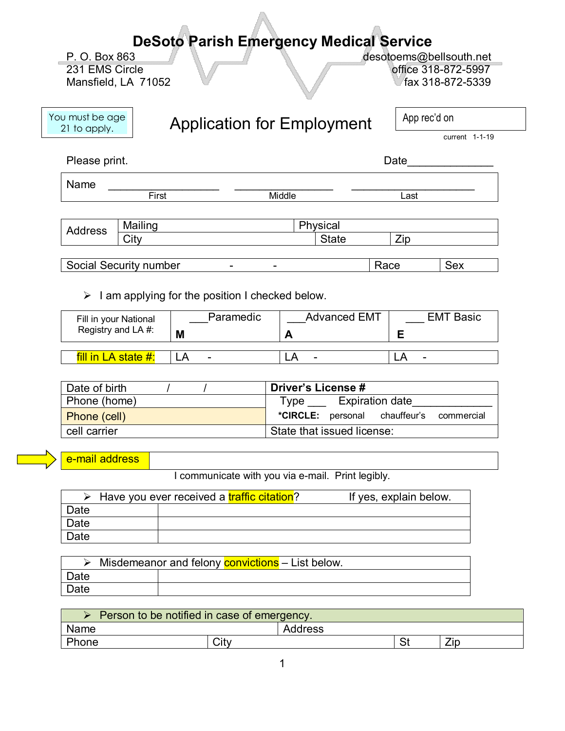| P. O. Box 863<br>231 EMS Circle<br>Mansfield, LA 71052 |                     | <b>DeSoto Parish Emergency Medical Service</b>          |                          |                                                   |                        |                        | desotoems@bellsouth.net<br>office 318-872-5997<br>fax 318-872-5339 |  |
|--------------------------------------------------------|---------------------|---------------------------------------------------------|--------------------------|---------------------------------------------------|------------------------|------------------------|--------------------------------------------------------------------|--|
| You must be age<br>21 to apply.                        |                     | <b>Application for Employment</b>                       |                          |                                                   |                        | App rec'd on           |                                                                    |  |
|                                                        |                     |                                                         |                          |                                                   |                        |                        | current 1-1-19                                                     |  |
| Please print.                                          |                     |                                                         |                          |                                                   |                        | Date                   |                                                                    |  |
| Name                                                   | First               |                                                         |                          | Middle                                            |                        | Last                   |                                                                    |  |
|                                                        |                     |                                                         |                          |                                                   |                        |                        |                                                                    |  |
| <b>Address</b>                                         | Mailing             |                                                         |                          | Physical                                          |                        |                        |                                                                    |  |
|                                                        | City                |                                                         |                          | <b>State</b>                                      |                        | Zip                    |                                                                    |  |
| Social Security number                                 |                     | $\overline{\phantom{0}}$                                | $\overline{\phantom{a}}$ |                                                   | Race                   |                        | <b>Sex</b>                                                         |  |
|                                                        |                     |                                                         |                          |                                                   |                        |                        |                                                                    |  |
| ➤                                                      |                     | am applying for the position I checked below.           |                          |                                                   |                        |                        |                                                                    |  |
| Fill in your National                                  |                     | Paramedic                                               |                          | <b>Advanced EMT</b>                               |                        |                        | <b>EMT Basic</b>                                                   |  |
| Registry and LA #:                                     |                     | M                                                       |                          | A                                                 |                        | Е                      |                                                                    |  |
|                                                        |                     |                                                         |                          |                                                   |                        |                        |                                                                    |  |
|                                                        | fill in LA state #: | LA                                                      |                          | LA                                                |                        | LA                     |                                                                    |  |
|                                                        |                     |                                                         |                          |                                                   |                        |                        |                                                                    |  |
| Date of birth                                          |                     |                                                         |                          | Driver's License #                                |                        |                        |                                                                    |  |
| Phone (home)                                           |                     |                                                         |                          | Type                                              | <b>Expiration date</b> |                        |                                                                    |  |
| Phone (cell)                                           |                     |                                                         |                          | *CIRCLE: personal                                 |                        | chauffeur's            | commercial                                                         |  |
| cell carrier                                           |                     |                                                         |                          | State that issued license:                        |                        |                        |                                                                    |  |
|                                                        |                     |                                                         |                          |                                                   |                        |                        |                                                                    |  |
| e-mail address                                         |                     |                                                         |                          |                                                   |                        |                        |                                                                    |  |
|                                                        |                     |                                                         |                          | I communicate with you via e-mail. Print legibly. |                        |                        |                                                                    |  |
|                                                        |                     |                                                         |                          |                                                   |                        |                        |                                                                    |  |
| ➤<br>Date                                              |                     | Have you ever received a traffic citation?              |                          |                                                   |                        | If yes, explain below. |                                                                    |  |
| Date                                                   |                     |                                                         |                          |                                                   |                        |                        |                                                                    |  |
| Date                                                   |                     |                                                         |                          |                                                   |                        |                        |                                                                    |  |
|                                                        |                     |                                                         |                          |                                                   |                        |                        |                                                                    |  |
| ➤                                                      |                     | Misdemeanor and felony <b>convictions</b> – List below. |                          |                                                   |                        |                        |                                                                    |  |
| Date                                                   |                     |                                                         |                          |                                                   |                        |                        |                                                                    |  |
| Date                                                   |                     |                                                         |                          |                                                   |                        |                        |                                                                    |  |
|                                                        |                     |                                                         |                          |                                                   |                        |                        |                                                                    |  |
| $\blacktriangleright$                                  |                     | Person to be notified in case of emergency.             |                          |                                                   |                        |                        |                                                                    |  |
| Name                                                   |                     |                                                         |                          | Address                                           |                        |                        |                                                                    |  |
| Phone                                                  |                     | City                                                    |                          |                                                   |                        | <b>St</b>              | Zip                                                                |  |
|                                                        |                     |                                                         |                          |                                                   |                        |                        |                                                                    |  |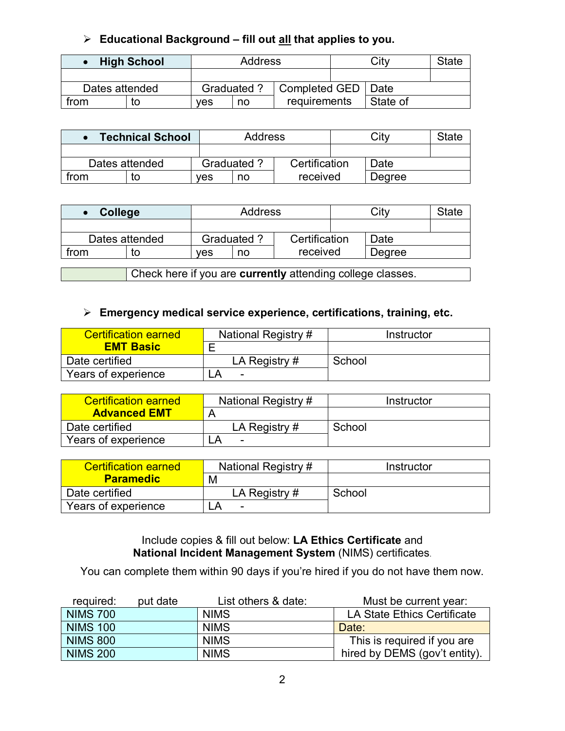## **Educational Background – fill out all that applies to you.**

|                | <b>High School</b> | Address            |      |                      | Citv     | <b>State</b> |
|----------------|--------------------|--------------------|------|----------------------|----------|--------------|
|                |                    |                    |      |                      |          |              |
| Dates attended |                    | <b>Graduated ?</b> |      | Completed GED   Date |          |              |
| trom           |                    | ves                | no i | requirements         | State of |              |

| <b>Technical School</b> |  |     | Address            |               |  | City   | State |
|-------------------------|--|-----|--------------------|---------------|--|--------|-------|
|                         |  |     |                    |               |  |        |       |
| Dates attended          |  |     | <b>Graduated ?</b> | Certification |  | Date   |       |
| trom                    |  | ves | no                 | received      |  | Degree |       |

| College                                                    |  | Address           |    | $\mathsf{C}$ itv |  | <b>State</b> |  |
|------------------------------------------------------------|--|-------------------|----|------------------|--|--------------|--|
|                                                            |  |                   |    |                  |  |              |  |
| Dates attended                                             |  | <b>Graduated?</b> |    | Certification    |  | Date         |  |
| from                                                       |  | ves               | no | received         |  | Degree       |  |
|                                                            |  |                   |    |                  |  |              |  |
| Check here if you are currently attending college classes. |  |                   |    |                  |  |              |  |

## **Emergency medical service experience, certifications, training, etc.**

| <b>Certification earned</b> | National Registry # | Instructor |
|-----------------------------|---------------------|------------|
| <b>EMT Basic</b>            |                     |            |
| Date certified              | LA Registry $#$     | School     |
| Years of experience         | -                   |            |

| <b>Certification earned</b> | National Registry # | Instructor |
|-----------------------------|---------------------|------------|
| <b>Advanced EMT</b>         |                     |            |
| Date certified              | LA Registry $#$     | School     |
| Years of experience         | -                   |            |

| <b>Certification earned</b> | National Registry # | Instructor |
|-----------------------------|---------------------|------------|
| <b>Paramedic</b>            | М                   |            |
| Date certified              | LA Registry $#$     | School     |
| Years of experience         | -                   |            |

### Include copies & fill out below: **LA Ethics Certificate** and **National Incident Management System** (NIMS) certificates.

You can complete them within 90 days if you're hired if you do not have them now.

| required:       | put date | List others & date: | Must be current year:         |
|-----------------|----------|---------------------|-------------------------------|
| <b>NIMS 700</b> |          | <b>NIMS</b>         | LA State Ethics Certificate   |
| <b>NIMS 100</b> |          | <b>NIMS</b>         | Date:                         |
| <b>NIMS 800</b> |          | <b>NIMS</b>         | This is required if you are   |
| <b>NIMS 200</b> |          | <b>NIMS</b>         | hired by DEMS (gov't entity). |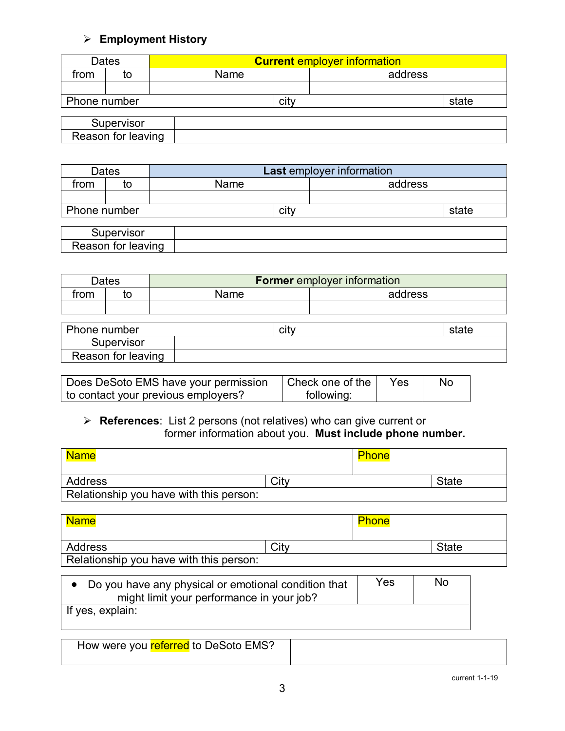## **Employment History**

|                    | Dates        | <b>Current employer information</b> |         |  |  |
|--------------------|--------------|-------------------------------------|---------|--|--|
| trom               |              | Name                                | address |  |  |
|                    |              |                                     |         |  |  |
|                    | Phone number |                                     | state   |  |  |
|                    |              |                                     |         |  |  |
|                    | Supervisor   |                                     |         |  |  |
| Reason for leaving |              |                                     |         |  |  |

| Dates        |    | <b>Last</b> employer information |         |  |  |
|--------------|----|----------------------------------|---------|--|--|
| trom         | το | Name                             | address |  |  |
|              |    |                                  |         |  |  |
| Phone number |    | city                             | state   |  |  |

| ---<br>.                                                                     |  |
|------------------------------------------------------------------------------|--|
| SOR<br>--<br>$\cdots$<br>∼ בו<br>'ΩĽ<br>$\mathbf{v}$<br>.Jasu<br>ישני<br>. . |  |

| <b>Dates</b> |  | <b>Former</b> employer information |         |  |
|--------------|--|------------------------------------|---------|--|
| trom         |  | Name                               | address |  |
|              |  |                                    |         |  |

| Phone number       | CItv | state |
|--------------------|------|-------|
| Supervisor         |      |       |
| Reason for leaving |      |       |

| Does DeSoto EMS have your permission | Check one of the | Yes | No |
|--------------------------------------|------------------|-----|----|
| to contact your previous employers?  | following:       |     |    |

# **References**: List 2 persons (not relatives) who can give current or former information about you. **Must include phone number.**

| <b>Name</b>                             |      | <b>Phone</b> |              |
|-----------------------------------------|------|--------------|--------------|
| Address                                 | City |              | <b>State</b> |
| Relationship you have with this person: |      |              |              |

| <b>Name</b>                             |      | <b>Phone</b> |       |
|-----------------------------------------|------|--------------|-------|
| Address                                 | City |              | State |
| Relationship you have with this person: |      |              |       |

| • Do you have any physical or emotional condition that<br>might limit your performance in your job? | Yes | No |
|-----------------------------------------------------------------------------------------------------|-----|----|
| If yes, explain:                                                                                    |     |    |
|                                                                                                     |     |    |

| How were you referred to DeSoto EMS? |  |
|--------------------------------------|--|
|                                      |  |